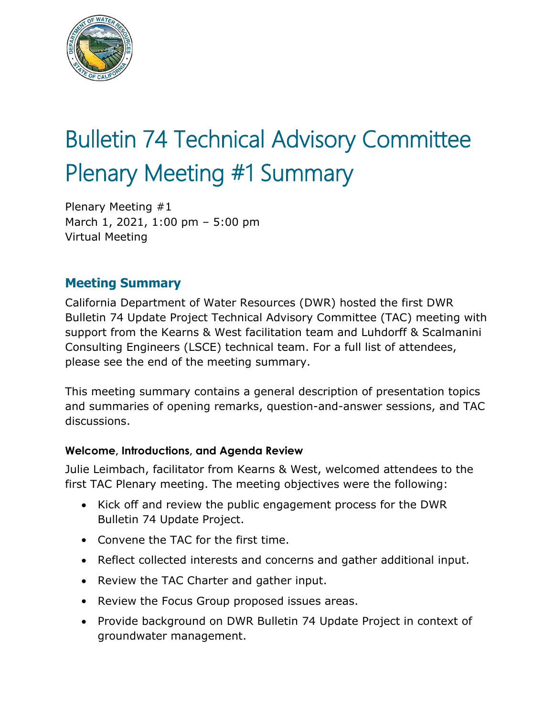

# Bulletin 74 Technical Advisory Committee Plenary Meeting #1 Summary

Plenary Meeting #1 March 1, 2021, 1:00 pm – 5:00 pm Virtual Meeting

# **Meeting Summary**

California Department of Water Resources (DWR) hosted the first DWR Bulletin 74 Update Project Technical Advisory Committee (TAC) meeting with support from the Kearns & West facilitation team and Luhdorff & Scalmanini Consulting Engineers (LSCE) technical team. For a full list of attendees, please see the end of the meeting summary.

This meeting summary contains a general description of presentation topics and summaries of opening remarks, question-and-answer sessions, and TAC discussions.

## **Welcome, Introductions, and Agenda Review**

Julie Leimbach, facilitator from Kearns & West, welcomed attendees to the first TAC Plenary meeting. The meeting objectives were the following:

- Kick off and review the public engagement process for the DWR Bulletin 74 Update Project.
- Convene the TAC for the first time.
- Reflect collected interests and concerns and gather additional input.
- Review the TAC Charter and gather input.
- Review the Focus Group proposed issues areas.
- Provide background on DWR Bulletin 74 Update Project in context of groundwater management.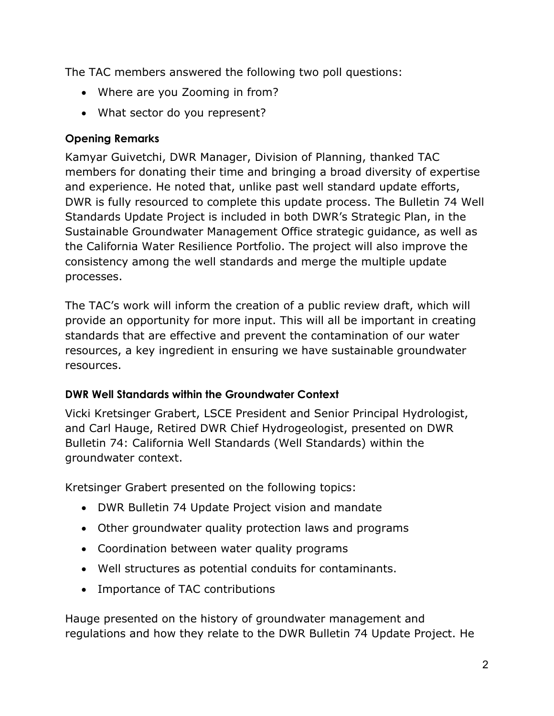The TAC members answered the following two poll questions:

- Where are you Zooming in from?
- What sector do you represent?

# **Opening Remarks**

Kamyar Guivetchi, DWR Manager, Division of Planning, thanked TAC members for donating their time and bringing a broad diversity of expertise and experience. He noted that, unlike past well standard update efforts, DWR is fully resourced to complete this update process. The Bulletin 74 Well Standards Update Project is included in both DWR's Strategic Plan, in the Sustainable Groundwater Management Office strategic guidance, as well as the California Water Resilience Portfolio. The project will also improve the consistency among the well standards and merge the multiple update processes.

The TAC's work will inform the creation of a public review draft, which will provide an opportunity for more input. This will all be important in creating standards that are effective and prevent the contamination of our water resources, a key ingredient in ensuring we have sustainable groundwater resources.

# **DWR Well Standards within the Groundwater Context**

Vicki Kretsinger Grabert, LSCE President and Senior Principal Hydrologist, and Carl Hauge, Retired DWR Chief Hydrogeologist, presented on DWR Bulletin 74: California Well Standards (Well Standards) within the groundwater context.

Kretsinger Grabert presented on the following topics:

- DWR Bulletin 74 Update Project vision and mandate
- Other groundwater quality protection laws and programs
- Coordination between water quality programs
- Well structures as potential conduits for contaminants.
- Importance of TAC contributions

Hauge presented on the history of groundwater management and regulations and how they relate to the DWR Bulletin 74 Update Project. He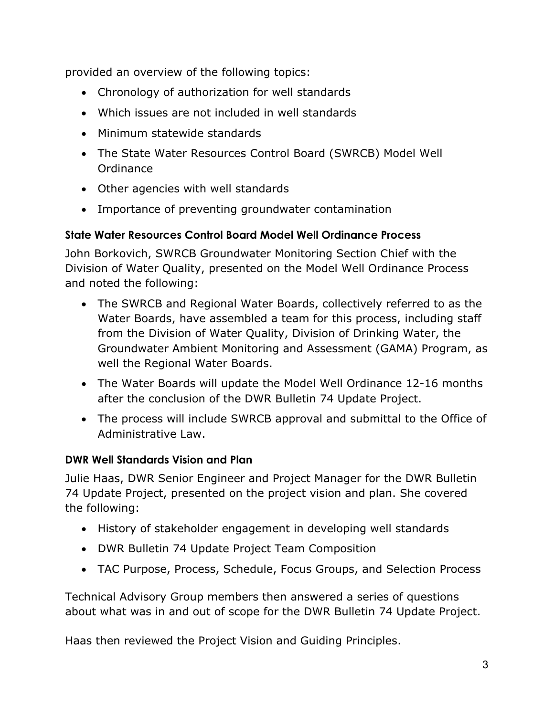provided an overview of the following topics:

- Chronology of authorization for well standards
- Which issues are not included in well standards
- Minimum statewide standards
- The State Water Resources Control Board (SWRCB) Model Well Ordinance
- Other agencies with well standards
- Importance of preventing groundwater contamination

# **State Water Resources Control Board Model Well Ordinance Process**

John Borkovich, SWRCB Groundwater Monitoring Section Chief with the Division of Water Quality, presented on the Model Well Ordinance Process and noted the following:

- The SWRCB and Regional Water Boards, collectively referred to as the Water Boards, have assembled a team for this process, including staff from the Division of Water Quality, Division of Drinking Water, the Groundwater Ambient Monitoring and Assessment (GAMA) Program, as well the Regional Water Boards.
- The Water Boards will update the Model Well Ordinance 12-16 months after the conclusion of the DWR Bulletin 74 Update Project.
- The process will include SWRCB approval and submittal to the Office of Administrative Law.

# **DWR Well Standards Vision and Plan**

Julie Haas, DWR Senior Engineer and Project Manager for the DWR Bulletin 74 Update Project, presented on the project vision and plan. She covered the following:

- History of stakeholder engagement in developing well standards
- DWR Bulletin 74 Update Project Team Composition
- TAC Purpose, Process, Schedule, Focus Groups, and Selection Process

Technical Advisory Group members then answered a series of questions about what was in and out of scope for the DWR Bulletin 74 Update Project.

Haas then reviewed the Project Vision and Guiding Principles.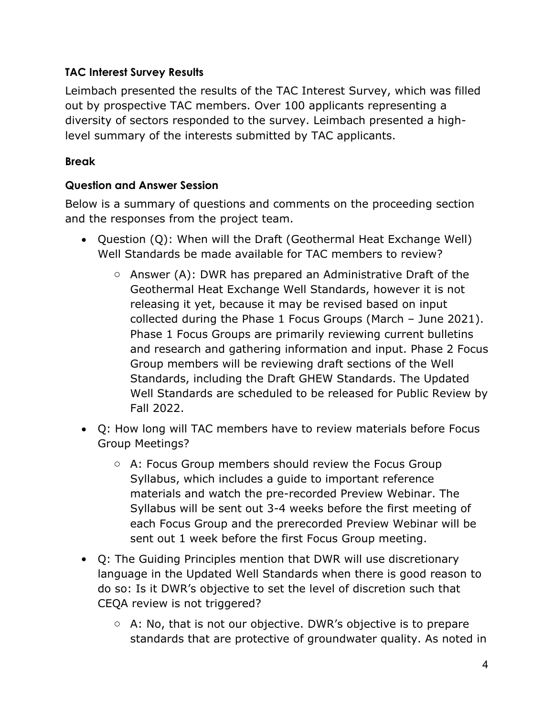# **TAC Interest Survey Results**

Leimbach presented the results of the TAC Interest Survey, which was filled out by prospective TAC members. Over 100 applicants representing a diversity of sectors responded to the survey. Leimbach presented a highlevel summary of the interests submitted by TAC applicants.

# **Break**

# **Question and Answer Session**

Below is a summary of questions and comments on the proceeding section and the responses from the project team.

- Question (Q): When will the Draft (Geothermal Heat Exchange Well) Well Standards be made available for TAC members to review?
	- $\circ$  Answer (A): DWR has prepared an Administrative Draft of the Geothermal Heat Exchange Well Standards, however it is not releasing it yet, because it may be revised based on input collected during the Phase 1 Focus Groups (March – June 2021). Phase 1 Focus Groups are primarily reviewing current bulletins and research and gathering information and input. Phase 2 Focus Group members will be reviewing draft sections of the Well Standards, including the Draft GHEW Standards. The Updated Well Standards are scheduled to be released for Public Review by Fall 2022.
- Q: How long will TAC members have to review materials before Focus Group Meetings?
	- o A: Focus Group members should review the Focus Group Syllabus, which includes a guide to important reference materials and watch the pre-recorded Preview Webinar. The Syllabus will be sent out 3-4 weeks before the first meeting of each Focus Group and the prerecorded Preview Webinar will be sent out 1 week before the first Focus Group meeting.
- Q: The Guiding Principles mention that DWR will use discretionary language in the Updated Well Standards when there is good reason to do so: Is it DWR's objective to set the level of discretion such that CEQA review is not triggered?
	- $\circ$  A: No, that is not our objective. DWR's objective is to prepare standards that are protective of groundwater quality. As noted in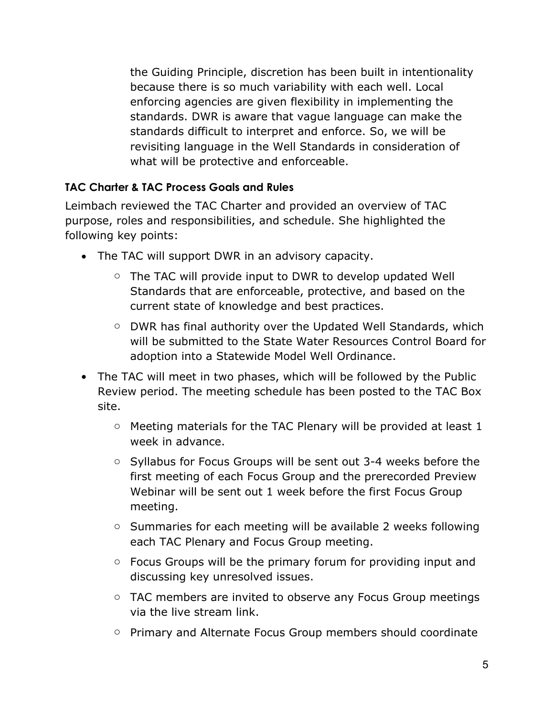the Guiding Principle, discretion has been built in intentionality because there is so much variability with each well. Local enforcing agencies are given flexibility in implementing the standards. DWR is aware that vague language can make the standards difficult to interpret and enforce. So, we will be revisiting language in the Well Standards in consideration of what will be protective and enforceable.

## **TAC Charter & TAC Process Goals and Rules**

Leimbach reviewed the TAC Charter and provided an overview of TAC purpose, roles and responsibilities, and schedule. She highlighted the following key points:

- The TAC will support DWR in an advisory capacity.
	- o The TAC will provide input to DWR to develop updated Well Standards that are enforceable, protective, and based on the current state of knowledge and best practices.
	- o DWR has final authority over the Updated Well Standards, which will be submitted to the State Water Resources Control Board for adoption into a Statewide Model Well Ordinance.
- The TAC will meet in two phases, which will be followed by the Public Review period. The [meeting schedule](https://cadwr.box.com/s/9rqsors9zv8c703qcv0j0aghsvox01z2) has been posted to the TAC Box site.
	- o Meeting materials for the TAC Plenary will be provided at least 1 week in advance.
	- o Syllabus for Focus Groups will be sent out 3-4 weeks before the first meeting of each Focus Group and the prerecorded Preview Webinar will be sent out 1 week before the first Focus Group meeting.
	- o Summaries for each meeting will be available 2 weeks following each TAC Plenary and Focus Group meeting.
	- o Focus Groups will be the primary forum for providing input and discussing key unresolved issues.
	- TAC members are invited to observe any Focus Group meetings via the live stream link.
	- o Primary and Alternate Focus Group members should coordinate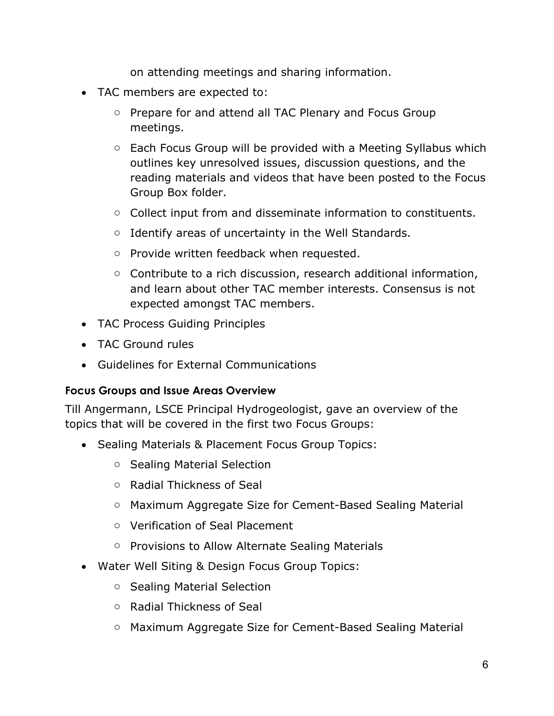on attending meetings and sharing information.

- TAC members are expected to:
	- o Prepare for and attend all TAC Plenary and Focus Group meetings.
	- o Each Focus Group will be provided with a Meeting Syllabus which outlines key unresolved issues, discussion questions, and the reading materials and videos that have been posted to the Focus Group Box folder.
	- o Collect input from and disseminate information to constituents.
	- o Identify areas of uncertainty in the Well Standards.
	- o Provide written feedback when requested.
	- $\circ$  Contribute to a rich discussion, research additional information, and learn about other TAC member interests. Consensus is not expected amongst TAC members.
- TAC Process Guiding Principles
- TAC Ground rules
- Guidelines for External Communications

#### **Focus Groups and Issue Areas Overview**

Till Angermann, LSCE Principal Hydrogeologist, gave an overview of the topics that will be covered in the first two Focus Groups:

- Sealing Materials & Placement Focus Group Topics:
	- o Sealing Material Selection
	- o Radial Thickness of Seal
	- o Maximum Aggregate Size for Cement-Based Sealing Material
	- o Verification of Seal Placement
	- o Provisions to Allow Alternate Sealing Materials
- Water Well Siting & Design Focus Group Topics:
	- o Sealing Material Selection
	- o Radial Thickness of Seal
	- o Maximum Aggregate Size for Cement-Based Sealing Material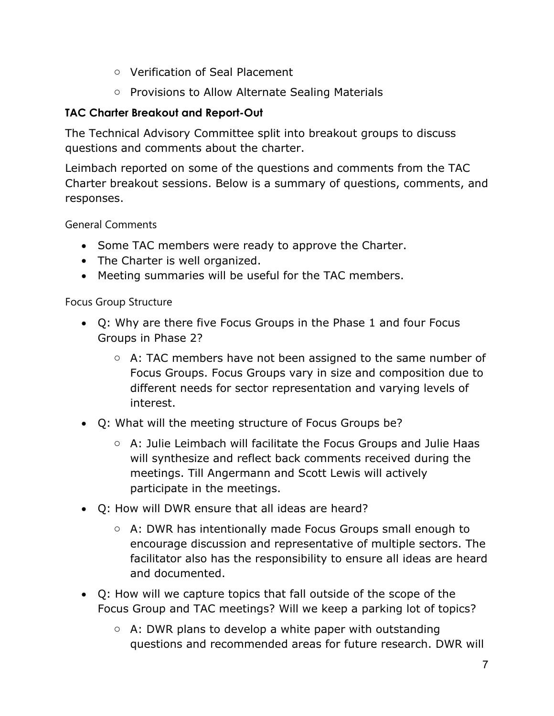- o Verification of Seal Placement
- o Provisions to Allow Alternate Sealing Materials

# **TAC Charter Breakout and Report-Out**

The Technical Advisory Committee split into breakout groups to discuss questions and comments about the charter.

Leimbach reported on some of the questions and comments from the TAC Charter breakout sessions. Below is a summary of questions, comments, and responses.

General Comments

- Some TAC members were ready to approve the Charter.
- The Charter is well organized.
- Meeting summaries will be useful for the TAC members.

Focus Group Structure

- Q: Why are there five Focus Groups in the Phase 1 and four Focus Groups in Phase 2?
	- o A: TAC members have not been assigned to the same number of Focus Groups. Focus Groups vary in size and composition due to different needs for sector representation and varying levels of interest.
- Q: What will the meeting structure of Focus Groups be?
	- o A: Julie Leimbach will facilitate the Focus Groups and Julie Haas will synthesize and reflect back comments received during the meetings. Till Angermann and Scott Lewis will actively participate in the meetings.
- Q: How will DWR ensure that all ideas are heard?
	- o A: DWR has intentionally made Focus Groups small enough to encourage discussion and representative of multiple sectors. The facilitator also has the responsibility to ensure all ideas are heard and documented.
- Q: How will we capture topics that fall outside of the scope of the Focus Group and TAC meetings? Will we keep a parking lot of topics?
	- $\circ$  A: DWR plans to develop a white paper with outstanding questions and recommended areas for future research. DWR will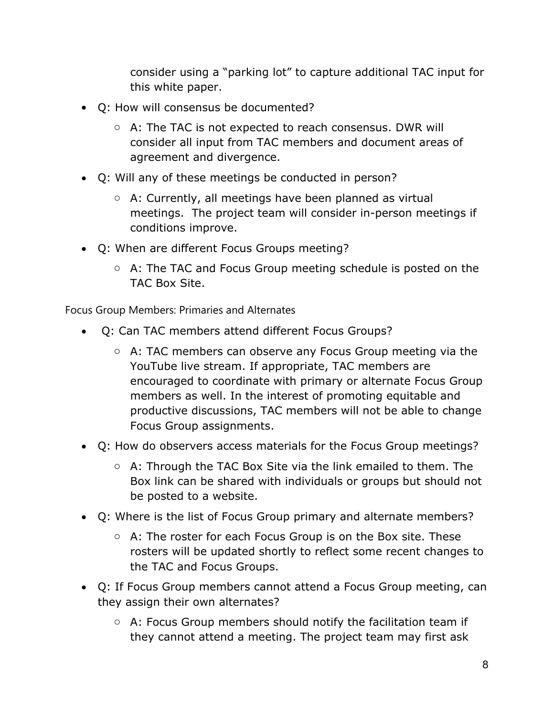consider using a "parking lot" to capture additional TAC input for this white paper.

- Q: How will consensus be documented?
	- o A: The TAC is not expected to reach consensus. DWR will consider all input from TAC members and document areas of agreement and divergence.
- Q: Will any of these meetings be conducted in person?
	- o A: Currently, all meetings have been planned as virtual meetings. The project team will consider in-person meetings if conditions improve.
- Q: When are different Focus Groups meeting?
	- $\circ$  A: The TAC and Focus Group meeting schedule is posted on the TAC Box Site.

Focus Group Members: Primaries and Alternates

- Q: Can TAC members attend different Focus Groups?
	- o A: TAC members can observe any Focus Group meeting via the YouTube live stream. If appropriate, TAC members are encouraged to coordinate with primary or alternate Focus Group members as well. In the interest of promoting equitable and productive discussions, TAC members will not be able to change Focus Group assignments.
- Q: How do observers access materials for the Focus Group meetings?
	- o A: Through the TAC Box Site via the link emailed to them. The Box link can be shared with individuals or groups but should not be posted to a website.
- Q: Where is the list of Focus Group primary and alternate members?
	- $\circ$  A: The roster for each Focus Group is on the Box site. These rosters will be updated shortly to reflect some recent changes to the TAC and Focus Groups.
- Q: If Focus Group members cannot attend a Focus Group meeting, can they assign their own alternates?
	- $\circ$  A: Focus Group members should notify the facilitation team if they cannot attend a meeting. The project team may first ask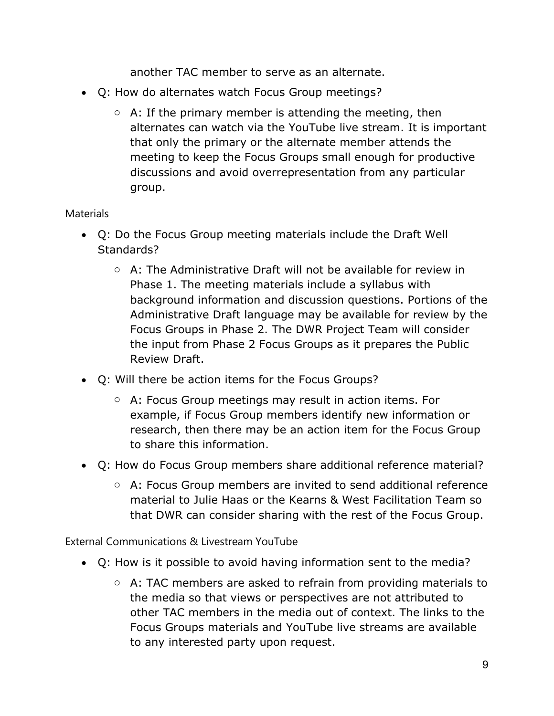another TAC member to serve as an alternate.

- Q: How do alternates watch Focus Group meetings?
	- $\circ$  A: If the primary member is attending the meeting, then alternates can watch via the YouTube live stream. It is important that only the primary or the alternate member attends the meeting to keep the Focus Groups small enough for productive discussions and avoid overrepresentation from any particular group.

## **Materials**

- Q: Do the Focus Group meeting materials include the Draft Well Standards?
	- $\circ$  A: The Administrative Draft will not be available for review in Phase 1. The meeting materials include a syllabus with background information and discussion questions. Portions of the Administrative Draft language may be available for review by the Focus Groups in Phase 2. The DWR Project Team will consider the input from Phase 2 Focus Groups as it prepares the Public Review Draft.
- Q: Will there be action items for the Focus Groups?
	- o A: Focus Group meetings may result in action items. For example, if Focus Group members identify new information or research, then there may be an action item for the Focus Group to share this information.
- Q: How do Focus Group members share additional reference material?
	- o A: Focus Group members are invited to send additional reference material to Julie Haas or the Kearns & West Facilitation Team so that DWR can consider sharing with the rest of the Focus Group.

External Communications & Livestream YouTube

- Q: How is it possible to avoid having information sent to the media?
	- o A: TAC members are asked to refrain from providing materials to the media so that views or perspectives are not attributed to other TAC members in the media out of context. The links to the Focus Groups materials and YouTube live streams are available to any interested party upon request.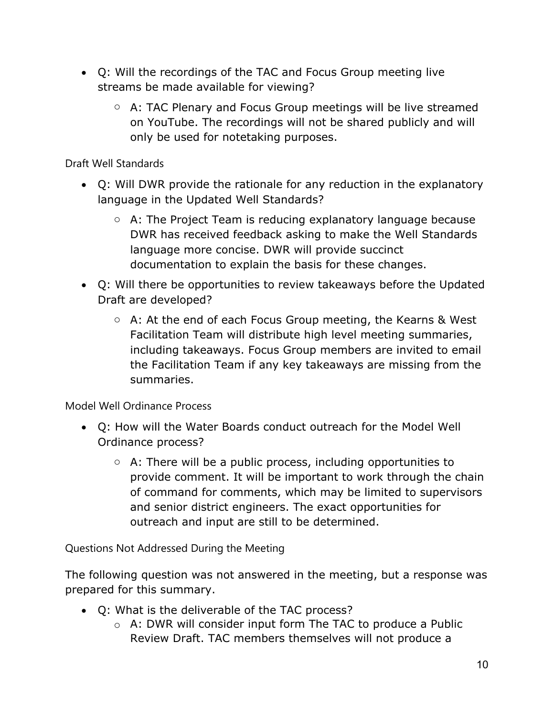- Q: Will the recordings of the TAC and Focus Group meeting live streams be made available for viewing?
	- o A: TAC Plenary and Focus Group meetings will be live streamed on YouTube. The recordings will not be shared publicly and will only be used for notetaking purposes.

Draft Well Standards

- Q: Will DWR provide the rationale for any reduction in the explanatory language in the Updated Well Standards?
	- o A: The Project Team is reducing explanatory language because DWR has received feedback asking to make the Well Standards language more concise. DWR will provide succinct documentation to explain the basis for these changes.
- Q: Will there be opportunities to review takeaways before the Updated Draft are developed?
	- o A: At the end of each Focus Group meeting, the Kearns & West Facilitation Team will distribute high level meeting summaries, including takeaways. Focus Group members are invited to email the Facilitation Team if any key takeaways are missing from the summaries.

Model Well Ordinance Process

- Q: How will the Water Boards conduct outreach for the Model Well Ordinance process?
	- $\circ$  A: There will be a public process, including opportunities to provide comment. It will be important to work through the chain of command for comments, which may be limited to supervisors and senior district engineers. The exact opportunities for outreach and input are still to be determined.

Questions Not Addressed During the Meeting

The following question was not answered in the meeting, but a response was prepared for this summary.

- Q: What is the deliverable of the TAC process?
	- o A: DWR will consider input form The TAC to produce a Public Review Draft. TAC members themselves will not produce a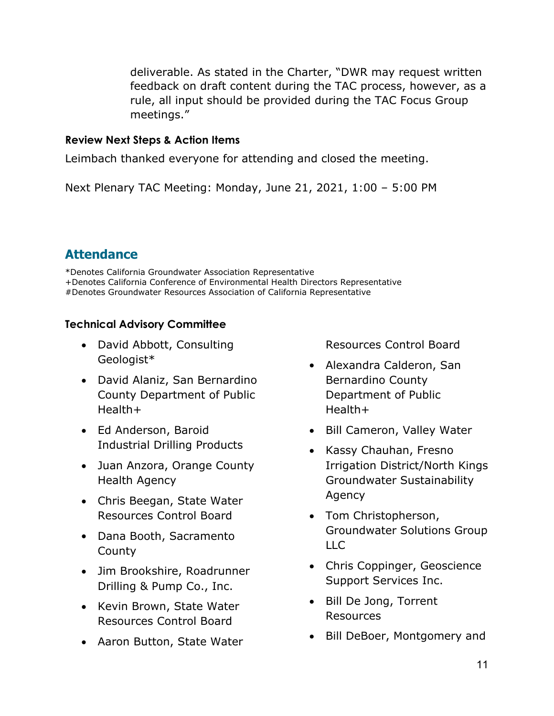deliverable. As stated in the Charter, "DWR may request written feedback on draft content during the TAC process, however, as a rule, all input should be provided during the TAC Focus Group meetings."

#### **Review Next Steps & Action Items**

Leimbach thanked everyone for attending and closed the meeting.

Next Plenary TAC Meeting: Monday, June 21, 2021, 1:00 – 5:00 PM

# **Attendance**

\*Denotes California Groundwater Association Representative +Denotes California Conference of Environmental Health Directors Representative #Denotes Groundwater Resources Association of California Representative

## **Technical Advisory Committee**

- David Abbott, Consulting Geologist\*
- David Alaniz, San Bernardino County Department of Public Health+
- Ed Anderson, Baroid Industrial Drilling Products
- Juan Anzora, Orange County Health Agency
- Chris Beegan, State Water Resources Control Board
- Dana Booth, Sacramento County
- Jim Brookshire, Roadrunner Drilling & Pump Co., Inc.
- Kevin Brown, State Water Resources Control Board
- Aaron Button, State Water

Resources Control Board

- Alexandra Calderon, San Bernardino County Department of Public Health+
- Bill Cameron, Valley Water
- Kassy Chauhan, Fresno Irrigation District/North Kings Groundwater Sustainability Agency
- Tom Christopherson, Groundwater Solutions Group LLC
- Chris Coppinger, Geoscience Support Services Inc.
- Bill De Jong, Torrent Resources
- Bill DeBoer, Montgomery and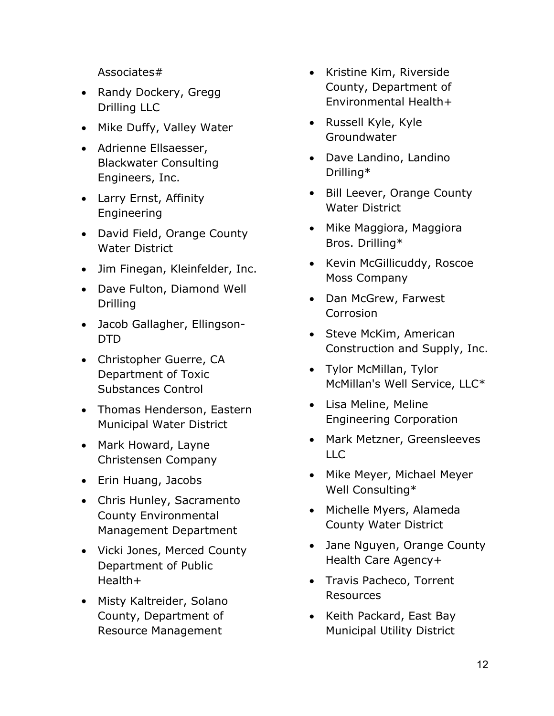Associates#

- Randy Dockery, Gregg Drilling LLC
- Mike Duffy, Valley Water
- Adrienne Ellsaesser, Blackwater Consulting Engineers, Inc.
- Larry Ernst, Affinity Engineering
- David Field, Orange County Water District
- Jim Finegan, Kleinfelder, Inc.
- Dave Fulton, Diamond Well Drilling
- Jacob Gallagher, Ellingson-DTD
- Christopher Guerre, CA Department of Toxic Substances Control
- Thomas Henderson, Eastern Municipal Water District
- Mark Howard, Layne Christensen Company
- Erin Huang, Jacobs
- Chris Hunley, Sacramento County Environmental Management Department
- Vicki Jones, Merced County Department of Public Health+
- Misty Kaltreider, Solano County, Department of Resource Management
- Kristine Kim, Riverside County, Department of Environmental Health+
- Russell Kyle, Kyle Groundwater
- Dave Landino, Landino Drilling\*
- Bill Leever, Orange County Water District
- Mike Maggiora, Maggiora Bros. Drilling\*
- Kevin McGillicuddy, Roscoe Moss Company
- Dan McGrew, Farwest **Corrosion**
- Steve McKim, American Construction and Supply, Inc.
- Tylor McMillan, Tylor McMillan's Well Service, LLC\*
- Lisa Meline, Meline Engineering Corporation
- Mark Metzner, Greensleeves LLC
- Mike Meyer, Michael Meyer Well Consulting\*
- Michelle Myers, Alameda County Water District
- Jane Nguyen, Orange County Health Care Agency+
- Travis Pacheco, Torrent Resources
- Keith Packard, East Bay Municipal Utility District